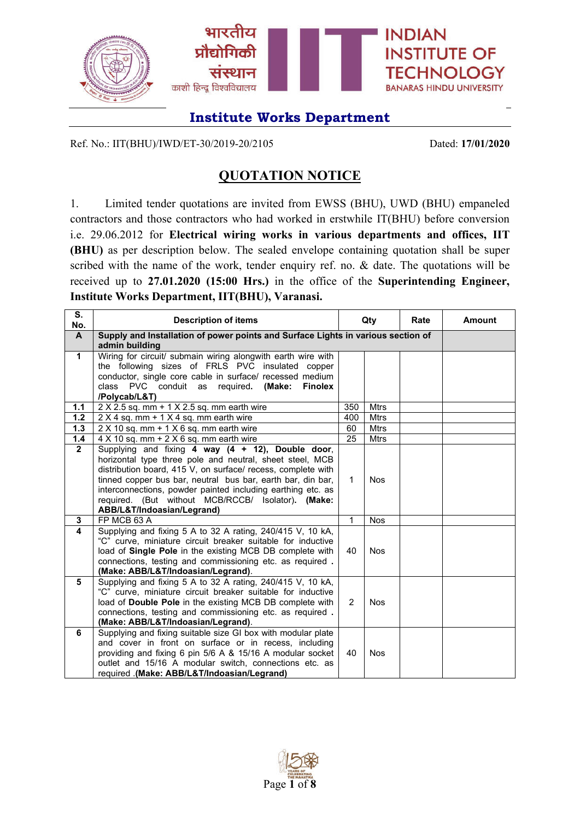

Ref. No.: IIT(BHU)/IWD/ET-30/2019-20/2105 Dated: **17/01/2020**

## **QUOTATION NOTICE**

1. Limited tender quotations are invited from EWSS (BHU), UWD (BHU) empaneled contractors and those contractors who had worked in erstwhile IT(BHU) before conversion i.e. 29.06.2012 for **Electrical wiring works in various departments and offices, IIT (BHU)** as per description below. The sealed envelope containing quotation shall be super scribed with the name of the work, tender enquiry ref. no. & date. The quotations will be received up to **27.01.2020 (15:00 Hrs.)** in the office of the **Superintending Engineer, Institute Works Department, IIT(BHU), Varanasi.**

| S.<br>No.      | <b>Description of items</b>                                                                                                                                                                                                                                                                                                                                                                     |                | Qty<br>Rate |  | <b>Amount</b> |
|----------------|-------------------------------------------------------------------------------------------------------------------------------------------------------------------------------------------------------------------------------------------------------------------------------------------------------------------------------------------------------------------------------------------------|----------------|-------------|--|---------------|
| $\mathsf{A}$   | Supply and Installation of power points and Surface Lights in various section of<br>admin building                                                                                                                                                                                                                                                                                              |                |             |  |               |
| $\mathbf{1}$   | Wiring for circuit/ submain wiring alongwith earth wire with<br>the following sizes of FRLS PVC insulated copper<br>conductor, single core cable in surface/ recessed medium<br><b>PVC</b><br>conduit as required.<br>(Make:<br>class<br><b>Finolex</b><br>/Polycab/L&T)                                                                                                                        |                |             |  |               |
| 1.1            | 2 X 2.5 sq. mm + 1 X 2.5 sq. mm earth wire                                                                                                                                                                                                                                                                                                                                                      | 350            | <b>Mtrs</b> |  |               |
| 1.2            | $2 \times 4$ sq. mm + 1 $\times$ 4 sq. mm earth wire                                                                                                                                                                                                                                                                                                                                            | 400            | Mtrs        |  |               |
| 1.3            | $2 \times 10$ sq. mm + 1 $\times$ 6 sq. mm earth wire                                                                                                                                                                                                                                                                                                                                           | 60             | <b>Mtrs</b> |  |               |
| 1.4            | $4 \times 10$ sq. mm + $2 \times 6$ sq. mm earth wire                                                                                                                                                                                                                                                                                                                                           | 25             | <b>Mtrs</b> |  |               |
| $\overline{2}$ | Supplying and fixing 4 way (4 + 12), Double door,<br>horizontal type three pole and neutral, sheet steel, MCB<br>distribution board, 415 V, on surface/ recess, complete with<br>tinned copper bus bar, neutral bus bar, earth bar, din bar,<br>interconnections, powder painted including earthing etc. as<br>required. (But without MCB/RCCB/ Isolator). (Make:<br>ABB/L&T/Indoasian/Legrand) | $\mathbf{1}$   | <b>Nos</b>  |  |               |
| 3              | FP MCB 63 A                                                                                                                                                                                                                                                                                                                                                                                     | 1              | <b>Nos</b>  |  |               |
| 4              | Supplying and fixing 5 A to 32 A rating, 240/415 V, 10 kA,<br>"C" curve, miniature circuit breaker suitable for inductive<br>load of Single Pole in the existing MCB DB complete with<br>connections, testing and commissioning etc. as required.<br>(Make: ABB/L&T/Indoasian/Legrand).                                                                                                         | 40             | <b>Nos</b>  |  |               |
| 5              | Supplying and fixing 5 A to 32 A rating, 240/415 V, 10 kA,<br>"C" curve, miniature circuit breaker suitable for inductive<br>load of Double Pole in the existing MCB DB complete with<br>connections, testing and commissioning etc. as required.<br>(Make: ABB/L&T/Indoasian/Legrand).                                                                                                         | $\overline{2}$ | <b>Nos</b>  |  |               |
| 6              | Supplying and fixing suitable size GI box with modular plate<br>and cover in front on surface or in recess, including<br>providing and fixing 6 pin 5/6 A & 15/16 A modular socket<br>outlet and 15/16 A modular switch, connections etc. as<br>required .(Make: ABB/L&T/Indoasian/Legrand)                                                                                                     | 40             | <b>Nos</b>  |  |               |

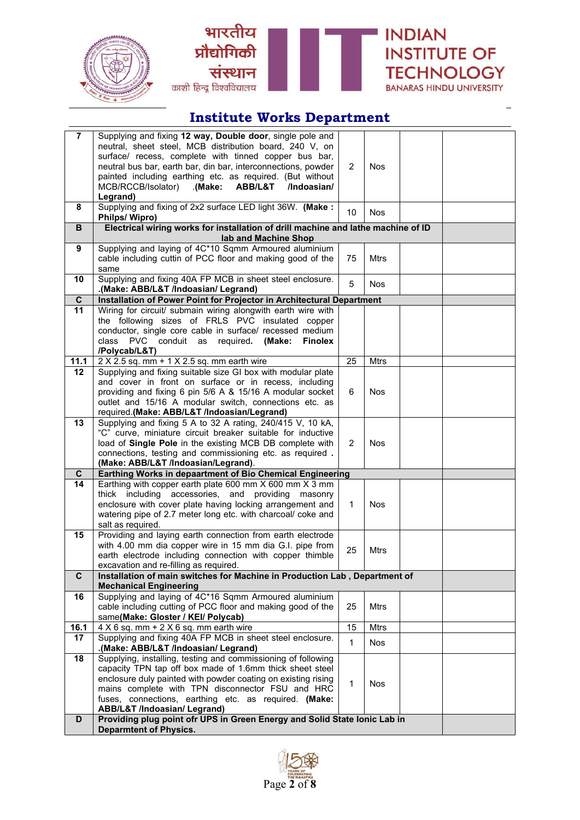





| $\overline{7}$          | Supplying and fixing 12 way, Double door, single pole and<br>neutral, sheet steel, MCB distribution board, 240 V, on        |                |             |  |  |  |  |  |  |  |
|-------------------------|-----------------------------------------------------------------------------------------------------------------------------|----------------|-------------|--|--|--|--|--|--|--|
|                         | surface/ recess, complete with tinned copper bus bar,<br>neutral bus bar, earth bar, din bar, interconnections, powder      | 2              | <b>Nos</b>  |  |  |  |  |  |  |  |
|                         | painted including earthing etc. as required. (But without<br>MCB/RCCB/Isolator) (Make:<br><b>ABB/L&amp;T</b><br>/Indoasian/ |                |             |  |  |  |  |  |  |  |
|                         | Legrand)                                                                                                                    |                |             |  |  |  |  |  |  |  |
| 8                       | Supplying and fixing of 2x2 surface LED light 36W. (Make:<br>Philps/Wipro)                                                  | 10             | <b>Nos</b>  |  |  |  |  |  |  |  |
| B                       | Electrical wiring works for installation of drill machine and lathe machine of ID<br>lab and Machine Shop                   |                |             |  |  |  |  |  |  |  |
| 9                       | Supplying and laying of 4C*10 Sqmm Armoured aluminium                                                                       |                |             |  |  |  |  |  |  |  |
|                         | cable including cuttin of PCC floor and making good of the<br>same                                                          | 75             | Mtrs        |  |  |  |  |  |  |  |
| 10                      | Supplying and fixing 40A FP MCB in sheet steel enclosure.<br>(Make: ABB/L&T /Indoasian/ Legrand).                           | 5              | Nos         |  |  |  |  |  |  |  |
| $\mathbf{C}$            | Installation of Power Point for Projector in Architectural Department                                                       |                |             |  |  |  |  |  |  |  |
| 11                      | Wiring for circuit/ submain wiring alongwith earth wire with                                                                |                |             |  |  |  |  |  |  |  |
|                         | the following sizes of FRLS PVC insulated copper                                                                            |                |             |  |  |  |  |  |  |  |
|                         | conductor, single core cable in surface/ recessed medium                                                                    |                |             |  |  |  |  |  |  |  |
|                         | <b>PVC</b><br>conduit<br>required. (Make:<br>class<br>as<br><b>Finolex</b>                                                  |                |             |  |  |  |  |  |  |  |
|                         | /Polycab/L&T)                                                                                                               |                |             |  |  |  |  |  |  |  |
| 11.1<br>12 <sub>2</sub> | $2 \times 2.5$ sq. mm + 1 $\times$ 2.5 sq. mm earth wire<br>Supplying and fixing suitable size GI box with modular plate    | 25             | Mtrs        |  |  |  |  |  |  |  |
|                         | and cover in front on surface or in recess, including                                                                       |                |             |  |  |  |  |  |  |  |
|                         | providing and fixing 6 pin 5/6 A & 15/16 A modular socket                                                                   | 6              | Nos         |  |  |  |  |  |  |  |
|                         | outlet and 15/16 A modular switch, connections etc. as                                                                      |                |             |  |  |  |  |  |  |  |
|                         | required.(Make: ABB/L&T /Indoasian/Legrand)                                                                                 |                |             |  |  |  |  |  |  |  |
| 13                      | Supplying and fixing 5 A to 32 A rating, 240/415 V, 10 kA,                                                                  |                |             |  |  |  |  |  |  |  |
|                         | "C" curve, miniature circuit breaker suitable for inductive                                                                 |                |             |  |  |  |  |  |  |  |
|                         | load of Single Pole in the existing MCB DB complete with<br>connections, testing and commissioning etc. as required.        | $\overline{2}$ | Nos         |  |  |  |  |  |  |  |
|                         | (Make: ABB/L&T /Indoasian/Legrand).                                                                                         |                |             |  |  |  |  |  |  |  |
| C.                      | Earthing Works in depaartment of Bio Chemical Engineering                                                                   |                |             |  |  |  |  |  |  |  |
| 14                      | Earthing with copper earth plate 600 mm X 600 mm X 3 mm                                                                     |                |             |  |  |  |  |  |  |  |
|                         | and<br>providing<br>thick including accessories,<br>masonry                                                                 |                |             |  |  |  |  |  |  |  |
|                         | enclosure with cover plate having locking arrangement and                                                                   | 1              | <b>Nos</b>  |  |  |  |  |  |  |  |
|                         | watering pipe of 2.7 meter long etc. with charcoal/ coke and<br>salt as required.                                           |                |             |  |  |  |  |  |  |  |
| 15                      | Providing and laying earth connection from earth electrode                                                                  |                |             |  |  |  |  |  |  |  |
|                         | with 4.00 mm dia copper wire in 15 mm dia G.I. pipe from                                                                    |                |             |  |  |  |  |  |  |  |
|                         | earth electrode including connection with copper thimble                                                                    | 25             | <b>Mtrs</b> |  |  |  |  |  |  |  |
|                         | excavation and re-filling as required.                                                                                      |                |             |  |  |  |  |  |  |  |
| C                       | Installation of main switches for Machine in Production Lab, Department of<br><b>Mechanical Engineering</b>                 |                |             |  |  |  |  |  |  |  |
| 16                      | Supplying and laying of 4C*16 Sqmm Armoured aluminium                                                                       |                |             |  |  |  |  |  |  |  |
|                         | cable including cutting of PCC floor and making good of the                                                                 | 25             | Mtrs        |  |  |  |  |  |  |  |
|                         | same(Make: Gloster / KEI/ Polycab)                                                                                          |                |             |  |  |  |  |  |  |  |
| 16.1                    | $4 \times 6$ sq. mm + 2 $\times$ 6 sq. mm earth wire                                                                        | 15             | <b>Mtrs</b> |  |  |  |  |  |  |  |
| 17                      | Supplying and fixing 40A FP MCB in sheet steel enclosure.<br>(Make: ABB/L&T /Indoasian/ Legrand).                           | $\mathbf{1}$   | <b>Nos</b>  |  |  |  |  |  |  |  |
| 18                      | Supplying, installing, testing and commissioning of following                                                               |                |             |  |  |  |  |  |  |  |
|                         | capacity TPN tap off box made of 1.6mm thick sheet steel                                                                    |                |             |  |  |  |  |  |  |  |
|                         | enclosure duly painted with powder coating on existing rising                                                               | $\mathbf{1}$   | <b>Nos</b>  |  |  |  |  |  |  |  |
|                         | mains complete with TPN disconnector FSU and HRC                                                                            |                |             |  |  |  |  |  |  |  |
|                         | fuses, connections, earthing etc. as required. (Make:                                                                       |                |             |  |  |  |  |  |  |  |
| D                       | ABB/L&T /Indoasian/ Legrand)<br>Providing plug point ofr UPS in Green Energy and Solid State Ionic Lab in                   |                |             |  |  |  |  |  |  |  |
|                         | <b>Deparmtent of Physics.</b>                                                                                               |                |             |  |  |  |  |  |  |  |
|                         |                                                                                                                             |                |             |  |  |  |  |  |  |  |

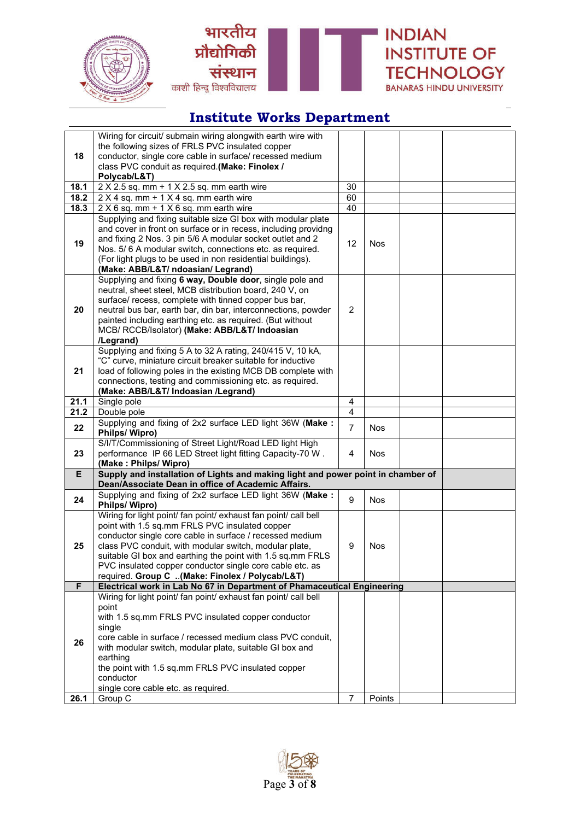





|      | Wiring for circuit/ submain wiring alongwith earth wire with                                                           |                |            |  |  |
|------|------------------------------------------------------------------------------------------------------------------------|----------------|------------|--|--|
|      | the following sizes of FRLS PVC insulated copper                                                                       |                |            |  |  |
| 18   | conductor, single core cable in surface/ recessed medium                                                               |                |            |  |  |
|      | class PVC conduit as required.(Make: Finolex /                                                                         |                |            |  |  |
| 18.1 | Polycab/L&T)<br>$2 \times 2.5$ sq. mm + 1 $\times$ 2.5 sq. mm earth wire                                               | 30             |            |  |  |
| 18.2 | 2 X 4 sq. mm + 1 X 4 sq. mm earth wire                                                                                 | 60             |            |  |  |
| 18.3 | $2 \times 6$ sq. mm + 1 $\times$ 6 sq. mm earth wire                                                                   | 40             |            |  |  |
|      | Supplying and fixing suitable size GI box with modular plate                                                           |                |            |  |  |
|      | and cover in front on surface or in recess, including providng                                                         |                |            |  |  |
|      | and fixing 2 Nos. 3 pin 5/6 A modular socket outlet and 2                                                              |                |            |  |  |
| 19   | Nos. 5/6 A modular switch, connections etc. as required.                                                               | 12             | Nos        |  |  |
|      | (For light plugs to be used in non residential buildings).                                                             |                |            |  |  |
|      | (Make: ABB/L&T/ ndoasian/ Legrand)                                                                                     |                |            |  |  |
|      | Supplying and fixing 6 way, Double door, single pole and                                                               |                |            |  |  |
|      | neutral, sheet steel, MCB distribution board, 240 V, on                                                                |                |            |  |  |
| 20   | surface/ recess, complete with tinned copper bus bar,<br>neutral bus bar, earth bar, din bar, interconnections, powder | $\overline{2}$ |            |  |  |
|      | painted including earthing etc. as required. (But without                                                              |                |            |  |  |
|      | MCB/ RCCB/Isolator) (Make: ABB/L&T/ Indoasian                                                                          |                |            |  |  |
|      | /Legrand)                                                                                                              |                |            |  |  |
|      | Supplying and fixing 5 A to 32 A rating, 240/415 V, 10 kA,                                                             |                |            |  |  |
|      | "C" curve, miniature circuit breaker suitable for inductive                                                            |                |            |  |  |
| 21   | load of following poles in the existing MCB DB complete with                                                           |                |            |  |  |
|      | connections, testing and commissioning etc. as required.                                                               |                |            |  |  |
|      | (Make: ABB/L&T/ Indoasian /Legrand)                                                                                    |                |            |  |  |
| 21.1 | Single pole                                                                                                            | 4              |            |  |  |
| 21.2 | Double pole                                                                                                            | 4              |            |  |  |
| 22   | Supplying and fixing of 2x2 surface LED light 36W (Make:<br>Philps/Wipro)                                              | $\overline{7}$ | <b>Nos</b> |  |  |
|      | S/I/T/Commissioning of Street Light/Road LED light High                                                                |                |            |  |  |
| 23   | performance IP 66 LED Street light fitting Capacity-70 W.                                                              | 4              | <b>Nos</b> |  |  |
|      | (Make: Philps/ Wipro)                                                                                                  |                |            |  |  |
| E    | Supply and installation of Lights and making light and power point in chamber of                                       |                |            |  |  |
|      | Dean/Associate Dean in office of Academic Affairs.                                                                     |                |            |  |  |
| 24   | Supplying and fixing of 2x2 surface LED light 36W (Make:<br>Philps/ Wipro)                                             | 9              | <b>Nos</b> |  |  |
|      | Wiring for light point/ fan point/ exhaust fan point/ call bell                                                        |                |            |  |  |
|      | point with 1.5 sq.mm FRLS PVC insulated copper                                                                         |                |            |  |  |
|      | conductor single core cable in surface / recessed medium                                                               |                |            |  |  |
| 25   | class PVC conduit, with modular switch, modular plate,                                                                 | 9              | Nos        |  |  |
|      |                                                                                                                        |                |            |  |  |
|      | suitable GI box and earthing the point with 1.5 sq.mm FRLS                                                             |                |            |  |  |
|      | PVC insulated copper conductor single core cable etc. as                                                               |                |            |  |  |
|      | required. Group C (Make: Finolex / Polycab/L&T)                                                                        |                |            |  |  |
| F    | Electrical work in Lab No 67 in Department of Phamaceutical Engineering                                                |                |            |  |  |
|      | Wiring for light point/ fan point/ exhaust fan point/ call bell                                                        |                |            |  |  |
|      | point                                                                                                                  |                |            |  |  |
|      | with 1.5 sq.mm FRLS PVC insulated copper conductor                                                                     |                |            |  |  |
|      | single<br>core cable in surface / recessed medium class PVC conduit,                                                   |                |            |  |  |
| 26   | with modular switch, modular plate, suitable GI box and                                                                |                |            |  |  |
|      | earthing                                                                                                               |                |            |  |  |
|      | the point with 1.5 sq.mm FRLS PVC insulated copper                                                                     |                |            |  |  |
|      | conductor                                                                                                              |                |            |  |  |
| 26.1 | single core cable etc. as required.<br>Group C                                                                         | $\overline{7}$ | Points     |  |  |

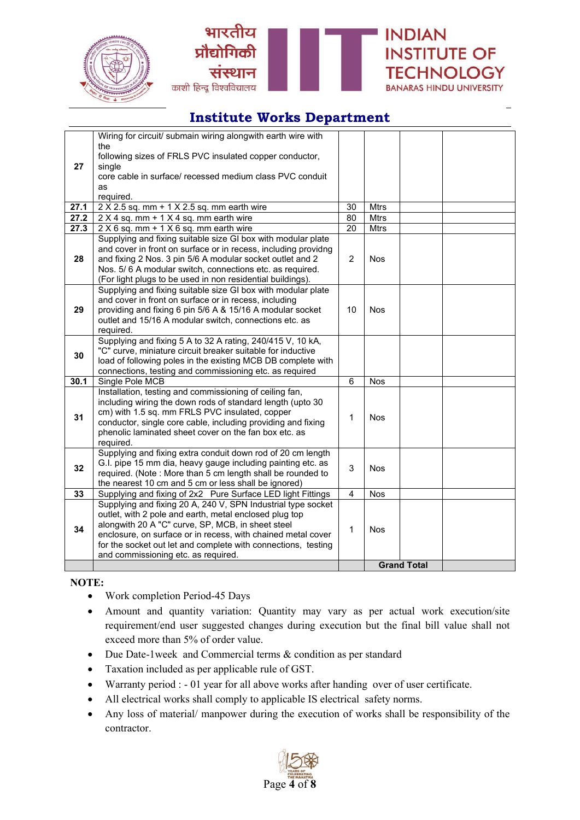





**INDIAN** 

**INSTITUTE OF** 

**TECHNOLOGY** 

**BANARAS HINDU UNIVERSITY** 

## **Institute Works Department**

|              | Wiring for circuit/ submain wiring alongwith earth wire with<br>the                                                       |                       |                            |                    |  |
|--------------|---------------------------------------------------------------------------------------------------------------------------|-----------------------|----------------------------|--------------------|--|
| 27           | following sizes of FRLS PVC insulated copper conductor,                                                                   |                       |                            |                    |  |
|              | single                                                                                                                    |                       |                            |                    |  |
|              | core cable in surface/ recessed medium class PVC conduit                                                                  |                       |                            |                    |  |
|              | as                                                                                                                        |                       |                            |                    |  |
|              | required.                                                                                                                 |                       |                            |                    |  |
| 27.1<br>27.2 | $2 \times 2.5$ sq. mm + 1 $\times$ 2.5 sq. mm earth wire                                                                  | 30<br>$\overline{80}$ | <b>Mtrs</b><br><b>Mtrs</b> |                    |  |
| 27.3         | 2 X 4 sq. mm + 1 X 4 sq. mm earth wire                                                                                    | 20                    | <b>Mtrs</b>                |                    |  |
|              | $2 \times 6$ sq. mm + 1 $\times$ 6 sq. mm earth wire<br>Supplying and fixing suitable size GI box with modular plate      |                       |                            |                    |  |
|              | and cover in front on surface or in recess, including providng                                                            |                       |                            |                    |  |
| 28           | and fixing 2 Nos. 3 pin 5/6 A modular socket outlet and 2                                                                 | $\overline{2}$        | <b>Nos</b>                 |                    |  |
|              | Nos. 5/6 A modular switch, connections etc. as required.                                                                  |                       |                            |                    |  |
|              | (For light plugs to be used in non residential buildings).                                                                |                       |                            |                    |  |
|              | Supplying and fixing suitable size GI box with modular plate                                                              |                       |                            |                    |  |
|              | and cover in front on surface or in recess, including                                                                     |                       |                            |                    |  |
| 29           | providing and fixing 6 pin 5/6 A & 15/16 A modular socket                                                                 | 10                    | <b>Nos</b>                 |                    |  |
|              | outlet and 15/16 A modular switch, connections etc. as                                                                    |                       |                            |                    |  |
|              | required.<br>Supplying and fixing 5 A to 32 A rating, 240/415 V, 10 kA,                                                   |                       |                            |                    |  |
|              | "C" curve, miniature circuit breaker suitable for inductive                                                               |                       |                            |                    |  |
| 30           | load of following poles in the existing MCB DB complete with                                                              |                       |                            |                    |  |
|              | connections, testing and commissioning etc. as required                                                                   |                       |                            |                    |  |
| 30.1         | Single Pole MCB                                                                                                           | 6                     | <b>Nos</b>                 |                    |  |
|              | Installation, testing and commissioning of ceiling fan,                                                                   |                       |                            |                    |  |
|              | including wiring the down rods of standard length (upto 30                                                                |                       |                            |                    |  |
| 31           | cm) with 1.5 sq. mm FRLS PVC insulated, copper                                                                            | 1                     | <b>Nos</b>                 |                    |  |
|              | conductor, single core cable, including providing and fixing                                                              |                       |                            |                    |  |
|              | phenolic laminated sheet cover on the fan box etc. as                                                                     |                       |                            |                    |  |
|              | required.                                                                                                                 |                       |                            |                    |  |
|              | Supplying and fixing extra conduit down rod of 20 cm length                                                               |                       |                            |                    |  |
| 32           | G.I. pipe 15 mm dia, heavy gauge including painting etc. as<br>required. (Note: More than 5 cm length shall be rounded to | 3                     | <b>Nos</b>                 |                    |  |
|              | the nearest 10 cm and 5 cm or less shall be ignored)                                                                      |                       |                            |                    |  |
| 33           | Supplying and fixing of 2x2 Pure Surface LED light Fittings                                                               | $\overline{4}$        | <b>Nos</b>                 |                    |  |
|              | Supplying and fixing 20 A, 240 V, SPN Industrial type socket                                                              |                       |                            |                    |  |
|              | outlet, with 2 pole and earth, metal enclosed plug top                                                                    |                       |                            |                    |  |
| 34           | alongwith 20 A "C" curve, SP, MCB, in sheet steel                                                                         |                       |                            |                    |  |
|              | enclosure, on surface or in recess, with chained metal cover                                                              | 1                     | <b>Nos</b>                 |                    |  |
|              | for the socket out let and complete with connections, testing                                                             |                       |                            |                    |  |
|              | and commissioning etc. as required.                                                                                       |                       |                            |                    |  |
|              |                                                                                                                           |                       |                            | <b>Grand Total</b> |  |

#### **NOTE:**

- Work completion Period-45 Days
- Amount and quantity variation: Quantity may vary as per actual work execution/site requirement/end user suggested changes during execution but the final bill value shall not exceed more than 5% of order value.
- Due Date-1week and Commercial terms & condition as per standard
- Taxation included as per applicable rule of GST.
- Warranty period : 01 year for all above works after handing over of user certificate.
- All electrical works shall comply to applicable IS electrical safety norms.
- Any loss of material/ manpower during the execution of works shall be responsibility of the contractor.

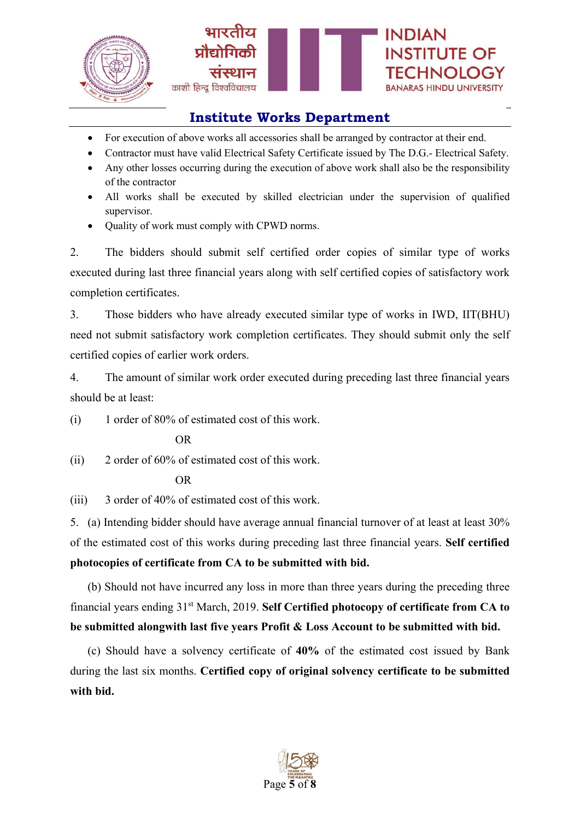

- For execution of above works all accessories shall be arranged by contractor at their end.
- Contractor must have valid Electrical Safety Certificate issued by The D.G.- Electrical Safety.
- Any other losses occurring during the execution of above work shall also be the responsibility of the contractor
- All works shall be executed by skilled electrician under the supervision of qualified supervisor.
- Quality of work must comply with CPWD norms.

2. The bidders should submit self certified order copies of similar type of works executed during last three financial years along with self certified copies of satisfactory work completion certificates.

3. Those bidders who have already executed similar type of works in IWD, IIT(BHU) need not submit satisfactory work completion certificates. They should submit only the self certified copies of earlier work orders.

4. The amount of similar work order executed during preceding last three financial years should be at least:

(i) 1 order of 80% of estimated cost of this work.

OR

(ii) 2 order of 60% of estimated cost of this work.

OR

(iii) 3 order of 40% of estimated cost of this work.

5. (a) Intending bidder should have average annual financial turnover of at least at least 30% of the estimated cost of this works during preceding last three financial years. **Self certified photocopies of certificate from CA to be submitted with bid.**

(b) Should not have incurred any loss in more than three years during the preceding three financial years ending 31st March, 2019. **Self Certified photocopy of certificate from CA to be submitted alongwith last five years Profit & Loss Account to be submitted with bid.**

(c) Should have a solvency certificate of **40%** of the estimated cost issued by Bank during the last six months. **Certified copy of original solvency certificate to be submitted with bid.**

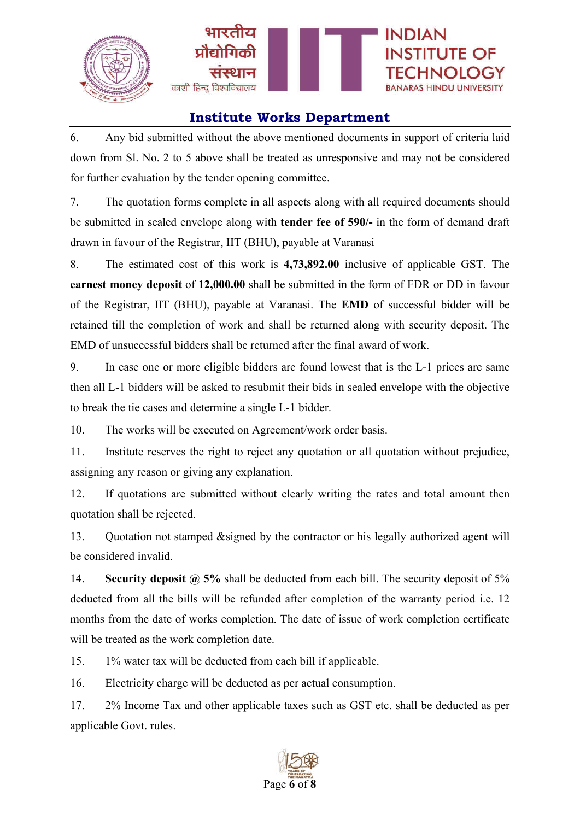

6. Any bid submitted without the above mentioned documents in support of criteria laid down from Sl. No. 2 to 5 above shall be treated as unresponsive and may not be considered for further evaluation by the tender opening committee.

7. The quotation forms complete in all aspects along with all required documents should be submitted in sealed envelope along with **tender fee of 590/-** in the form of demand draft drawn in favour of the Registrar, IIT (BHU), payable at Varanasi

8. The estimated cost of this work is **4,73,892.00** inclusive of applicable GST. The **earnest money deposit** of **12,000.00** shall be submitted in the form of FDR or DD in favour of the Registrar, IIT (BHU), payable at Varanasi. The **EMD** of successful bidder will be retained till the completion of work and shall be returned along with security deposit. The EMD of unsuccessful bidders shall be returned after the final award of work.

9. In case one or more eligible bidders are found lowest that is the L-1 prices are same then all L-1 bidders will be asked to resubmit their bids in sealed envelope with the objective to break the tie cases and determine a single L-1 bidder.

10. The works will be executed on Agreement/work order basis.

11. Institute reserves the right to reject any quotation or all quotation without prejudice, assigning any reason or giving any explanation.

12. If quotations are submitted without clearly writing the rates and total amount then quotation shall be rejected.

13. Quotation not stamped &signed by the contractor or his legally authorized agent will be considered invalid.

14. **Security deposit @ 5%** shall be deducted from each bill. The security deposit of 5% deducted from all the bills will be refunded after completion of the warranty period i.e. 12 months from the date of works completion. The date of issue of work completion certificate will be treated as the work completion date.

15. 1% water tax will be deducted from each bill if applicable.

16. Electricity charge will be deducted as per actual consumption.

17. 2% Income Tax and other applicable taxes such as GST etc. shall be deducted as per applicable Govt. rules.

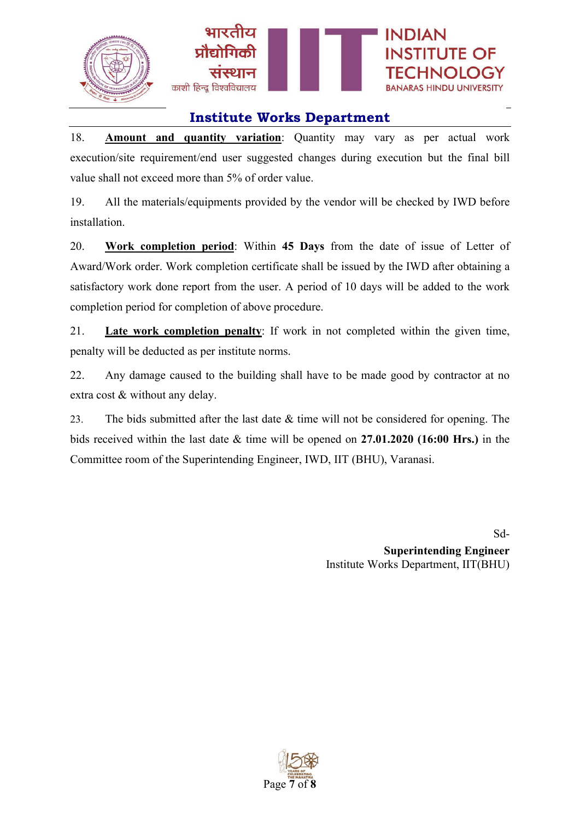

18. **Amount and quantity variation**: Quantity may vary as per actual work execution/site requirement/end user suggested changes during execution but the final bill value shall not exceed more than 5% of order value.

19. All the materials/equipments provided by the vendor will be checked by IWD before installation.

20. **Work completion period**: Within **45 Days** from the date of issue of Letter of Award/Work order. Work completion certificate shall be issued by the IWD after obtaining a satisfactory work done report from the user. A period of 10 days will be added to the work completion period for completion of above procedure.

21. **Late work completion penalty**: If work in not completed within the given time, penalty will be deducted as per institute norms.

22. Any damage caused to the building shall have to be made good by contractor at no extra cost & without any delay.

23. The bids submitted after the last date & time will not be considered for opening. The bids received within the last date & time will be opened on **27.01.2020 (16:00 Hrs.)** in the Committee room of the Superintending Engineer, IWD, IIT (BHU), Varanasi.

> Sd-**Superintending Engineer** Institute Works Department, IIT(BHU)